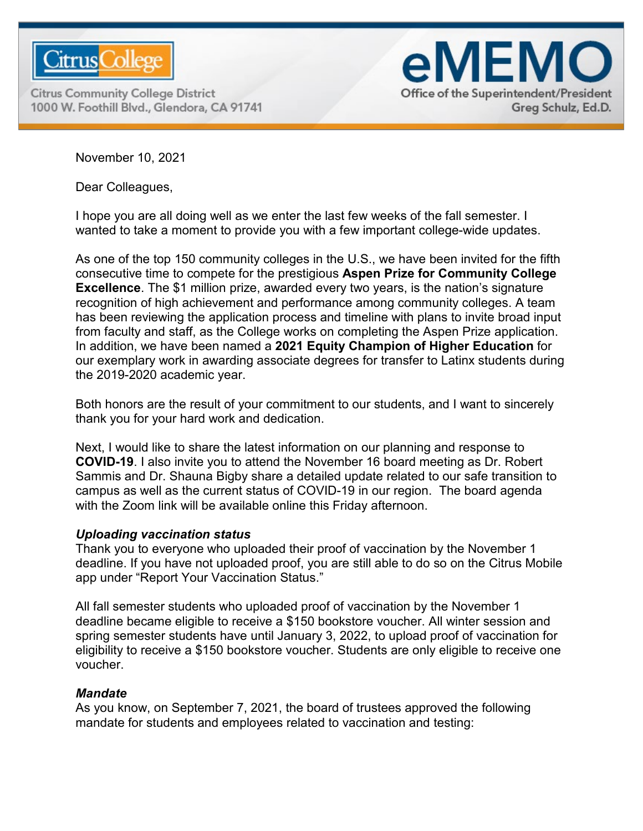

**Citrus Community College District** 1000 W. Foothill Blvd., Glendora, CA 91741



November 10, 2021

Dear Colleagues,

I hope you are all doing well as we enter the last few weeks of the fall semester. I wanted to take a moment to provide you with a few important college-wide updates.

As one of the top 150 community colleges in the U.S., we have been invited for the fifth consecutive time to compete for the prestigious **Aspen Prize for Community College Excellence**. The \$1 million prize, awarded every two years, is the nation's signature recognition of high achievement and performance among community colleges. A team has been reviewing the application process and timeline with plans to invite broad input from faculty and staff, as the College works on completing the Aspen Prize application. In addition, we have been named a **2021 Equity Champion of Higher Education** for our exemplary work in awarding associate degrees for transfer to Latinx students during the 2019-2020 academic year.

Both honors are the result of your commitment to our students, and I want to sincerely thank you for your hard work and dedication.

Next, I would like to share the latest information on our planning and response to **COVID-19**. I also invite you to attend the November 16 board meeting as Dr. Robert Sammis and Dr. Shauna Bigby share a detailed update related to our safe transition to campus as well as the current status of COVID-19 in our region. The board agenda with the Zoom link will be available online this Friday afternoon.

## *Uploading vaccination status*

Thank you to everyone who uploaded their proof of vaccination by the November 1 deadline. If you have not uploaded proof, you are still able to do so on the Citrus Mobile app under "Report Your Vaccination Status."

All fall semester students who uploaded proof of vaccination by the November 1 deadline became eligible to receive a \$150 bookstore voucher. All winter session and spring semester students have until January 3, 2022, to upload proof of vaccination for eligibility to receive a \$150 bookstore voucher. Students are only eligible to receive one voucher.

## *Mandate*

As you know, on September 7, 2021, the board of trustees approved the following mandate for students and employees related to vaccination and testing: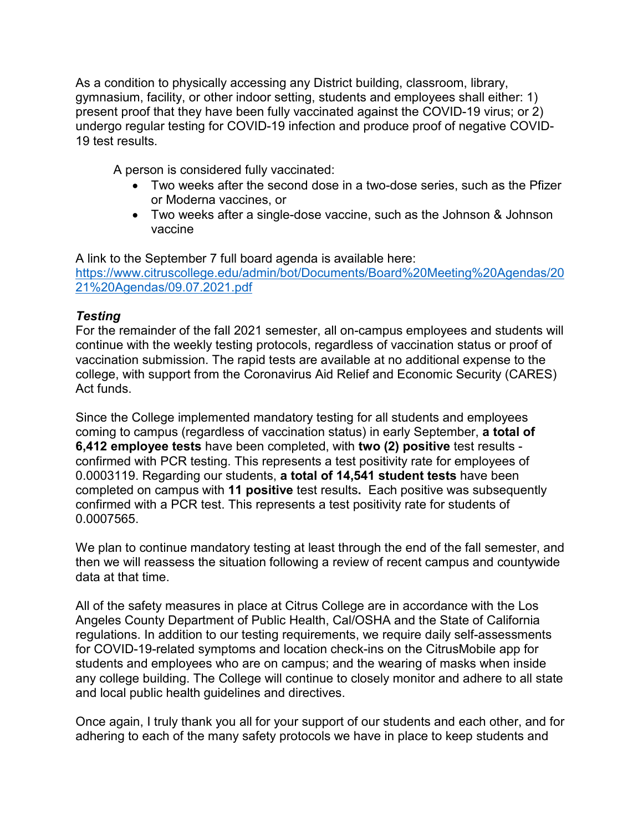As a condition to physically accessing any District building, classroom, library, gymnasium, facility, or other indoor setting, students and employees shall either: 1) present proof that they have been fully vaccinated against the COVID-19 virus; or 2) undergo regular testing for COVID-19 infection and produce proof of negative COVID-19 test results.

A person is considered fully vaccinated:

- Two weeks after the second dose in a two-dose series, such as the Pfizer or Moderna vaccines, or
- Two weeks after a single-dose vaccine, such as the Johnson & Johnson vaccine

A link to the September 7 full board agenda is available here: [https://www.citruscollege.edu/admin/bot/Documents/Board%20Meeting%20Agendas/20](https://www.citruscollege.edu/admin/bot/Documents/Board%20Meeting%20Agendas/2021%20Agendas/09.07.2021.pdf) [21%20Agendas/09.07.2021.pdf](https://www.citruscollege.edu/admin/bot/Documents/Board%20Meeting%20Agendas/2021%20Agendas/09.07.2021.pdf)

## *Testing*

For the remainder of the fall 2021 semester, all on-campus employees and students will continue with the weekly testing protocols, regardless of vaccination status or proof of vaccination submission. The rapid tests are available at no additional expense to the college, with support from the Coronavirus Aid Relief and Economic Security (CARES) Act funds.

Since the College implemented mandatory testing for all students and employees coming to campus (regardless of vaccination status) in early September, **a total of 6,412 employee tests** have been completed, with **two (2) positive** test results confirmed with PCR testing. This represents a test positivity rate for employees of 0.0003119. Regarding our students, **a total of 14,541 student tests** have been completed on campus with **11 positive** test results**.** Each positive was subsequently confirmed with a PCR test. This represents a test positivity rate for students of 0.0007565.

We plan to continue mandatory testing at least through the end of the fall semester, and then we will reassess the situation following a review of recent campus and countywide data at that time.

All of the safety measures in place at Citrus College are in accordance with the Los Angeles County Department of Public Health, Cal/OSHA and the State of California regulations. In addition to our testing requirements, we require daily self-assessments for COVID-19-related symptoms and location check-ins on the CitrusMobile app for students and employees who are on campus; and the wearing of masks when inside any college building. The College will continue to closely monitor and adhere to all state and local public health guidelines and directives.

Once again, I truly thank you all for your support of our students and each other, and for adhering to each of the many safety protocols we have in place to keep students and